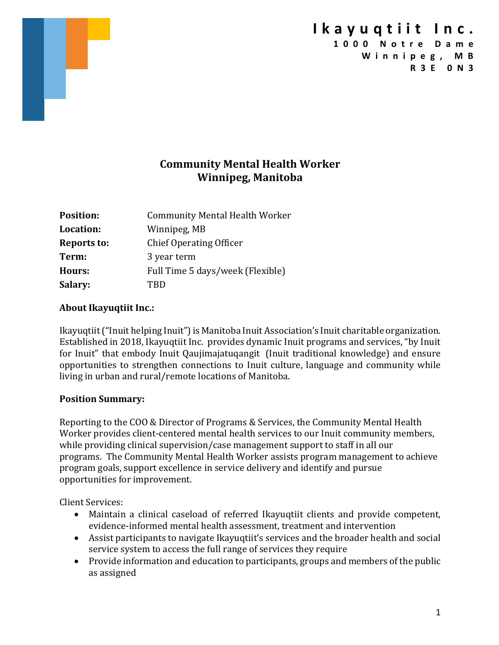### **Community Mental Health Worker Winnipeg, Manitoba**

| <b>Position:</b>   | <b>Community Mental Health Worker</b> |
|--------------------|---------------------------------------|
| Location:          | Winnipeg, MB                          |
| <b>Reports to:</b> | <b>Chief Operating Officer</b>        |
| Term:              | 3 year term                           |
| Hours:             | Full Time 5 days/week (Flexible)      |
| Salary:            | TRD                                   |

#### **About Ikayuqtiit Inc.:**

Ikayuqtiit ("Inuit helping Inuit") is Manitoba Inuit Association's Inuit charitable organization. Established in 2018, Ikayuqtiit Inc. provides dynamic Inuit programs and services, "by Inuit for Inuit" that embody Inuit Qaujimajatuqangit (Inuit traditional knowledge) and ensure opportunities to strengthen connections to Inuit culture, language and community while living in urban and rural/remote locations of Manitoba.

#### **Position Summary:**

Reporting to the COO & Director of Programs & Services, the Community Mental Health Worker provides client-centered mental health services to our Inuit community members, while providing clinical supervision/case management support to staff in all our programs. The Community Mental Health Worker assists program management to achieve program goals, support excellence in service delivery and identify and pursue opportunities for improvement.

Client Services:

- Maintain a clinical caseload of referred Ikayuqtiit clients and provide competent, evidence-informed mental health assessment, treatment and intervention
- Assist participants to navigate Ikayuqtiit's services and the broader health and social service system to access the full range of services they require
- Provide information and education to participants, groups and members of the public as assigned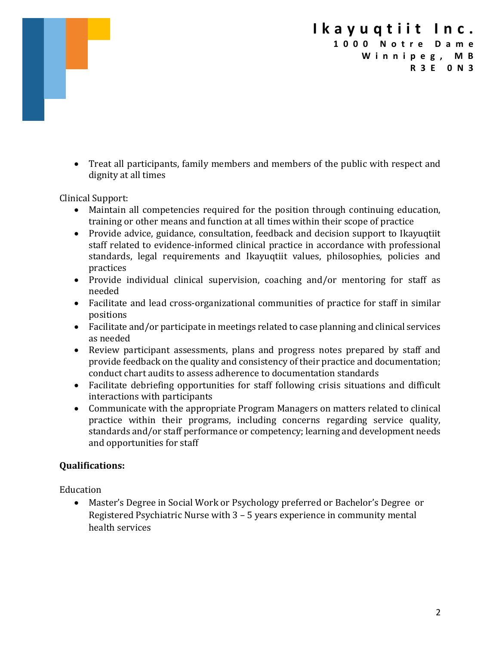• Treat all participants, family members and members of the public with respect and dignity at all times

Clinical Support:

- Maintain all competencies required for the position through continuing education, training or other means and function at all times within their scope of practice
- Provide advice, guidance, consultation, feedback and decision support to Ikayuqtiit staff related to evidence-informed clinical practice in accordance with professional standards, legal requirements and Ikayuqtiit values, philosophies, policies and practices
- Provide individual clinical supervision, coaching and/or mentoring for staff as needed
- Facilitate and lead cross-organizational communities of practice for staff in similar positions
- Facilitate and/or participate in meetings related to case planning and clinical services as needed
- Review participant assessments, plans and progress notes prepared by staff and provide feedback on the quality and consistency of their practice and documentation; conduct chart audits to assess adherence to documentation standards
- Facilitate debriefing opportunities for staff following crisis situations and difficult interactions with participants
- Communicate with the appropriate Program Managers on matters related to clinical practice within their programs, including concerns regarding service quality, standards and/or staff performance or competency; learning and development needs and opportunities for staff

### **Qualifications:**

Education

• Master's Degree in Social Work or Psychology preferred or Bachelor's Degree or Registered Psychiatric Nurse with  $3 - 5$  years experience in community mental health services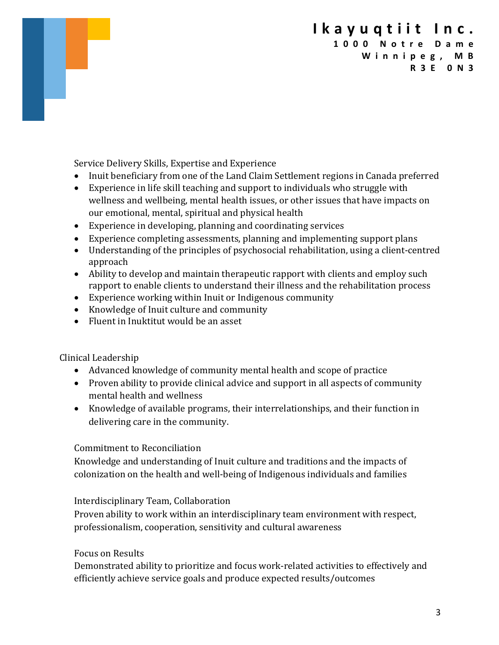Service Delivery Skills, Expertise and Experience

- Inuit beneficiary from one of the Land Claim Settlement regions in Canada preferred
- Experience in life skill teaching and support to individuals who struggle with wellness and wellbeing, mental health issues, or other issues that have impacts on our emotional, mental, spiritual and physical health
- Experience in developing, planning and coordinating services
- Experience completing assessments, planning and implementing support plans
- Understanding of the principles of psychosocial rehabilitation, using a client-centred approach
- Ability to develop and maintain therapeutic rapport with clients and employ such rapport to enable clients to understand their illness and the rehabilitation process
- Experience working within Inuit or Indigenous community
- Knowledge of Inuit culture and community
- $\bullet$  Fluent in Inuktitut would be an asset

Clinical Leadership

- Advanced knowledge of community mental health and scope of practice
- Proven ability to provide clinical advice and support in all aspects of community mental health and wellness
- Knowledge of available programs, their interrelationships, and their function in delivering care in the community.

### Commitment to Reconciliation

Knowledge and understanding of Inuit culture and traditions and the impacts of colonization on the health and well-being of Indigenous individuals and families

### Interdisciplinary Team, Collaboration

Proven ability to work within an interdisciplinary team environment with respect, professionalism, cooperation, sensitivity and cultural awareness

### Focus on Results

Demonstrated ability to prioritize and focus work-related activities to effectively and efficiently achieve service goals and produce expected results/outcomes